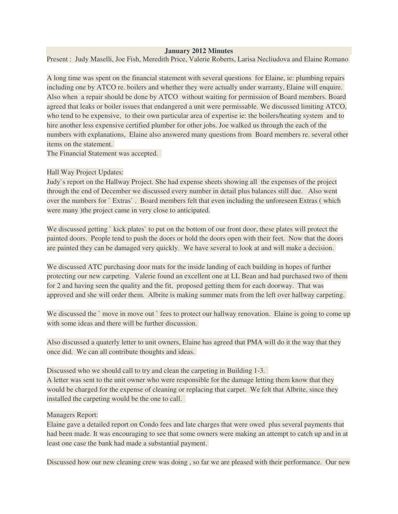## **January 2012 Minutes**

Present : Judy Maselli, Joe Fish, Meredith Price, Valerie Roberts, Larisa Necliudova and Elaine Romano

A long time was spent on the financial statement with several questions for Elaine, ie: plumbing repairs including one by ATCO re. boilers and whether they were actually under warranty, Elaine will enquire. Also when a repair should be done by ATCO without waiting for permission of Board members. Board agreed that leaks or boiler issues that endangered a unit were permissable. We discussed limiting ATCO, who tend to be expensive, to their own particular area of expertise ie: the boilers/heating system and to hire another less expensive certified plumber for other jobs. Joe walked us through the each of the numbers with explanations, Elaine also answered many questions from Board members re. several other items on the statement.

The Financial Statement was accepted.

## Hall Way Project Updates:

Judy`s report on the Hallway Project. She had expense sheets showing all the expenses of the project through the end of December we discussed every number in detail plus balances still due. Also went over the numbers for ` Extras` . Board members felt that even including the unforeseen Extras ( which were many )the project came in very close to anticipated.

We discussed getting `kick plates` to put on the bottom of our front door, these plates will protect the painted doors. People tend to push the doors or hold the doors open with their feet. Now that the doors are painted they can be damaged very quickly. We have several to look at and will make a decision.

We discussed ATC purchasing door mats for the inside landing of each building in hopes of further protecting our new carpeting. Valerie found an excellent one at LL Bean and had purchased two of them for 2 and having seen the quality and the fit, proposed getting them for each doorway. That was approved and she will order them. Albrite is making summer mats from the left over hallway carpeting.

We discussed the `move in move out `fees to protect our hallway renovation. Elaine is going to come up with some ideas and there will be further discussion.

Also discussed a quaterly letter to unit owners, Elaine has agreed that PMA will do it the way that they once did. We can all contribute thoughts and ideas.

Discussed who we should call to try and clean the carpeting in Building 1-3.

A letter was sent to the unit owner who were responsible for the damage letting them know that they would be charged for the expense of cleaning or replacing that carpet. We felt that Albrite, since they installed the carpeting would be the one to call.

## Managers Report:

Elaine gave a detailed report on Condo fees and late charges that were owed plus several payments that had been made. It was encouraging to see that some owners were making an attempt to catch up and in at least one case the bank had made a substantial payment.

Discussed how our new cleaning crew was doing , so far we are pleased with their performance. Our new